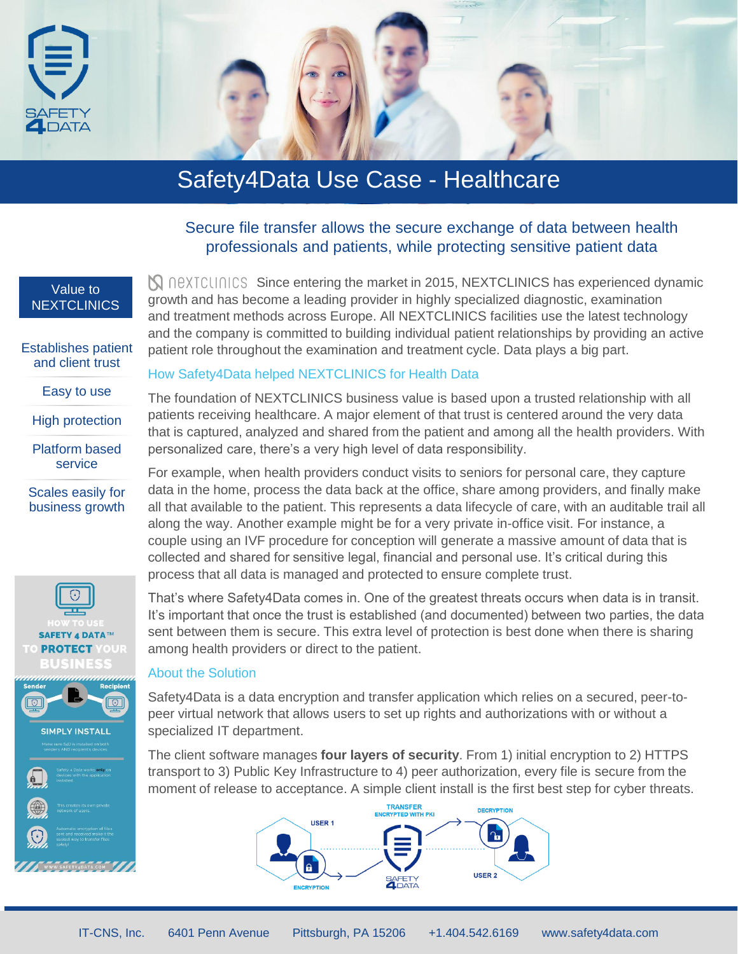

# Safety4Data Use Case - Healthcare

## Secure file transfer allows the secure exchange of data between health professionals and patients, while protecting sensitive patient data

**N** DEXTCULTICS Since entering the market in 2015, NEXTCLINICS has experienced dynamic

growth and has become a leading provider in highly specialized diagnostic, examination and treatment methods across Europe. All NEXTCLINICS facilities use the latest technology and the company is committed to building individual patient relationships by providing an active

patient role throughout the examination and treatment cycle. Data plays a big part.

#### Value to **NEXTCLINICS**

Establishes patient and client trust

Easy to use

High protection

Platform based service

```
Scales easily for 
business growth
```




# How Safety4Data helped NEXTCLINICS for Health Data

The foundation of NEXTCLINICS business value is based upon a trusted relationship with all patients receiving healthcare. A major element of that trust is centered around the very data that is captured, analyzed and shared from the patient and among all the health providers. With personalized care, there's a very high level of data responsibility.

For example, when health providers conduct visits to seniors for personal care, they capture data in the home, process the data back at the office, share among providers, and finally make all that available to the patient. This represents a data lifecycle of care, with an auditable trail all along the way. Another example might be for a very private in-office visit. For instance, a couple using an IVF procedure for conception will generate a massive amount of data that is collected and shared for sensitive legal, financial and personal use. It's critical during this process that all data is managed and protected to ensure complete trust.

That's where Safety4Data comes in. One of the greatest threats occurs when data is in transit. It's important that once the trust is established (and documented) between two parties, the data sent between them is secure. This extra level of protection is best done when there is sharing among health providers or direct to the patient.

#### About the Solution

Safety4Data is a data encryption and transfer application which relies on a secured, peer-topeer virtual network that allows users to set up rights and authorizations with or without a specialized IT department.

The client software manages **four layers of security**. From 1) initial encryption to 2) HTTPS transport to 3) Public Key Infrastructure to 4) peer authorization, every file is secure from the moment of release to acceptance. A simple client install is the first best step for cyber threats.